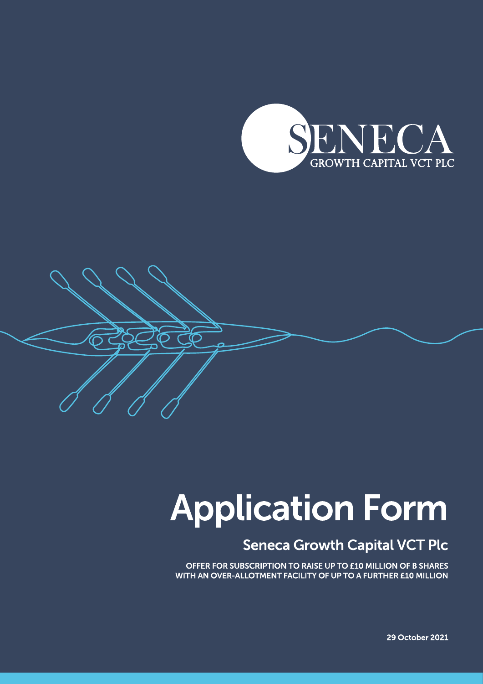



# **Application Form**

# **Seneca Growth Capital VCT Plc**

OFFER FOR SUBSCRIPTION TO RAISE UP TO £10 MILLION OF B SHARES WITH AN OVER-ALLOTMENT FACILITY OF UP TO A FURTHER £10 MILLION

**29 October 2021**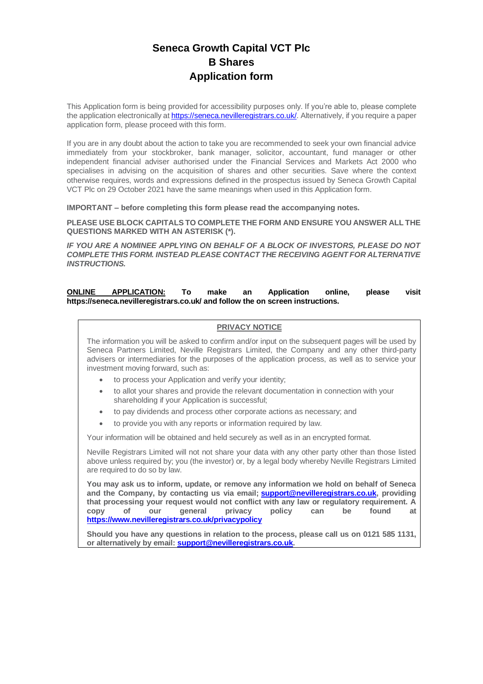## **Seneca Growth Capital VCT Plc B Shares Application form**

This Application form is being provided for accessibility purposes only. If you're able to, please complete the application electronically at **https://seneca.nevilleregistrars.co.uk/**. Alternatively, if you require a paper application form, please proceed with this form.

If you are in any doubt about the action to take you are recommended to seek your own financial advice immediately from your stockbroker, bank manager, solicitor, accountant, fund manager or other independent financial adviser authorised under the Financial Services and Markets Act 2000 who specialises in advising on the acquisition of shares and other securities. Save where the context otherwise requires, words and expressions defined in the prospectus issued by Seneca Growth Capital VCT Plc on 29 October 2021 have the same meanings when used in this Application form.

**IMPORTANT – before completing this form please read the accompanying notes.** 

**PLEASE USE BLOCK CAPITALS TO COMPLETE THE FORM AND ENSURE YOU ANSWER ALL THE QUESTIONS MARKED WITH AN ASTERISK (\*).**

*IF YOU ARE A NOMINEE APPLYING ON BEHALF OF A BLOCK OF INVESTORS, PLEASE DO NOT COMPLETE THIS FORM. INSTEAD PLEASE CONTACT THE RECEIVING AGENT FOR ALTERNATIVE INSTRUCTIONS.*

**ONLINE APPLICATION: To make an Application online, please visit https://seneca.nevilleregistrars.co.uk/ and follow the on screen instructions.** 

#### **PRIVACY NOTICE**

The information you will be asked to confirm and/or input on the subsequent pages will be used by Seneca Partners Limited, Neville Registrars Limited, the Company and any other third-party advisers or intermediaries for the purposes of the application process, as well as to service your investment moving forward, such as:

- to process your Application and verify your identity;
- to allot your shares and provide the relevant documentation in connection with your shareholding if your Application is successful;
- to pay dividends and process other corporate actions as necessary; and
- to provide you with any reports or information required by law.

Your information will be obtained and held securely as well as in an encrypted format.

Neville Registrars Limited will not not share your data with any other party other than those listed above unless required by; you (the investor) or, by a legal body whereby Neville Registrars Limited are required to do so by law.

**You may ask us to inform, update, or remove any information we hold on behalf of Seneca and the Company, by contacting us via email; [support@nevilleregistrars.co.uk,](mailto:support@nevilleregistrars.co.uk) providing that processing your request would not conflict with any law or regulatory requirement. A copy of our general privacy policy can be found at <https://www.nevilleregistrars.co.uk/privacypolicy>**

**Should you have any questions in relation to the process, please call us on 0121 585 1131, or alternatively by email: [support@nevilleregistrars.co.uk.](mailto:support@nevilleregistrars.co.uk)**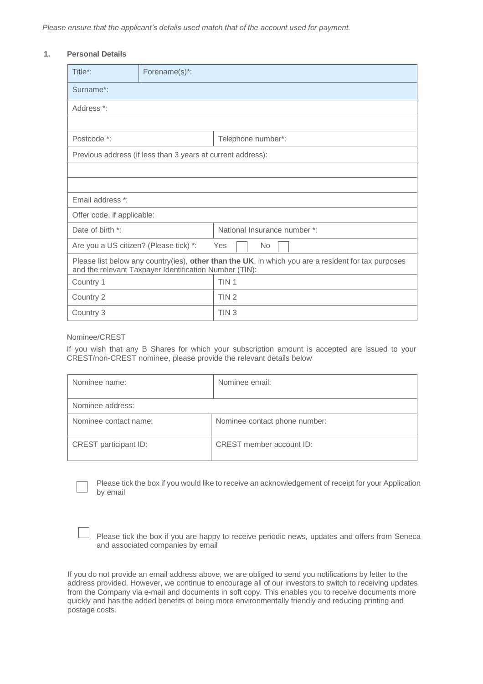#### **1. Personal Details**

| Title*:                                                                                                                                                       | Forename(s)*:                                               |                              |  |
|---------------------------------------------------------------------------------------------------------------------------------------------------------------|-------------------------------------------------------------|------------------------------|--|
| Surname*:                                                                                                                                                     |                                                             |                              |  |
| Address *:                                                                                                                                                    |                                                             |                              |  |
|                                                                                                                                                               |                                                             |                              |  |
| Postcode *:                                                                                                                                                   |                                                             | Telephone number*:           |  |
|                                                                                                                                                               | Previous address (if less than 3 years at current address): |                              |  |
|                                                                                                                                                               |                                                             |                              |  |
|                                                                                                                                                               |                                                             |                              |  |
| Email address *:                                                                                                                                              |                                                             |                              |  |
| Offer code, if applicable:                                                                                                                                    |                                                             |                              |  |
| Date of birth *:                                                                                                                                              |                                                             | National Insurance number *: |  |
| Are you a US citizen? (Please tick) *:                                                                                                                        |                                                             | <b>No</b><br>Yes             |  |
| Please list below any country(ies), other than the UK, in which you are a resident for tax purposes<br>and the relevant Taxpayer Identification Number (TIN): |                                                             |                              |  |
| Country 1                                                                                                                                                     |                                                             | TIN <sub>1</sub>             |  |
| Country 2                                                                                                                                                     |                                                             | TIN <sub>2</sub>             |  |
| Country 3                                                                                                                                                     |                                                             | TIN <sub>3</sub>             |  |

#### Nominee/CREST

If you wish that any B Shares for which your subscription amount is accepted are issued to your CREST/non-CREST nominee, please provide the relevant details below

| Nominee name:         | Nominee email:                |
|-----------------------|-------------------------------|
| Nominee address:      |                               |
| Nominee contact name: | Nominee contact phone number: |
| CREST participant ID: | CREST member account ID:      |

Please tick the box if you would like to receive an acknowledgement of receipt for your Application by email

| Please tick the box if you are happy to receive periodic news, updates and offers from Seneca |  |  |
|-----------------------------------------------------------------------------------------------|--|--|
| and associated companies by email                                                             |  |  |

If you do not provide an email address above, we are obliged to send you notifications by letter to the address provided. However, we continue to encourage all of our investors to switch to receiving updates from the Company via e-mail and documents in soft copy. This enables you to receive documents more quickly and has the added benefits of being more environmentally friendly and reducing printing and postage costs.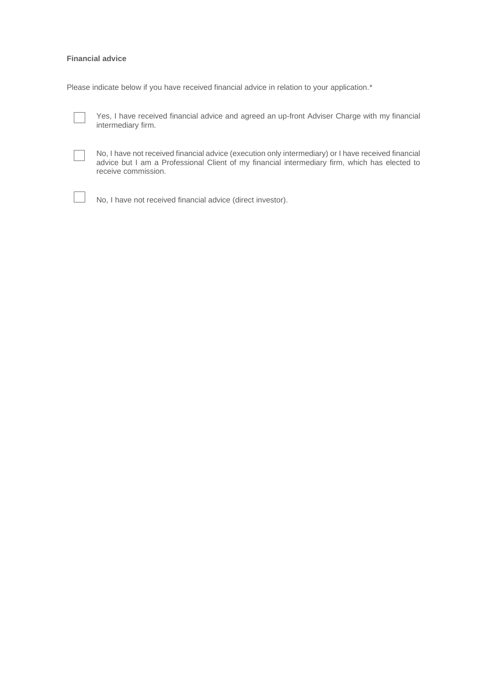#### **Financial advice**

Please indicate below if you have received financial advice in relation to your application.\*



Yes, I have received financial advice and agreed an up-front Adviser Charge with my financial intermediary firm.

| ___ |  |  |
|-----|--|--|
|     |  |  |
|     |  |  |
|     |  |  |
|     |  |  |
|     |  |  |
|     |  |  |
|     |  |  |

No, I have not received financial advice (execution only intermediary) or I have received financial advice but I am a Professional Client of my financial intermediary firm, which has elected to receive commission.



No, I have not received financial advice (direct investor).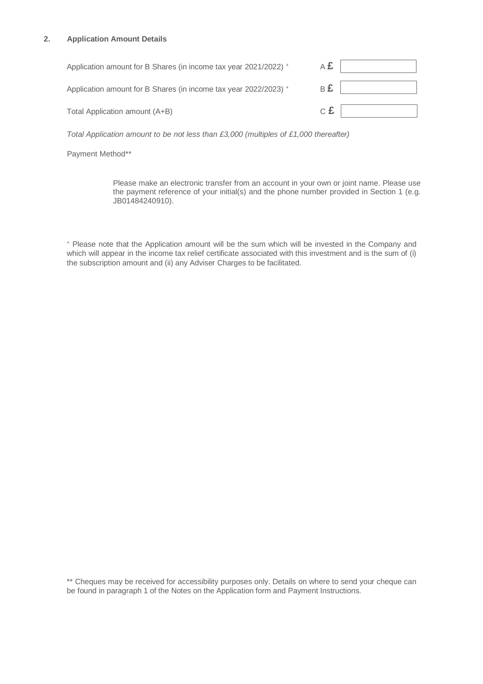#### **2. Application Amount Details**

| Application amount for B Shares (in income tax year 2021/2022) + | Α£ |  |
|------------------------------------------------------------------|----|--|
| Application amount for B Shares (in income tax year 2022/2023) + | в£ |  |
| Total Application amount (A+B)                                   | с£ |  |

*Total Application amount to be not less than £3,000 (multiples of £1,000 thereafter)* 

Payment Method\*\*

Please make an electronic transfer from an account in your own or joint name. Please use the payment reference of your initial(s) and the phone number provided in Section 1 (e.g. JB01484240910).

<sup>+</sup> Please note that the Application amount will be the sum which will be invested in the Company and which will appear in the income tax relief certificate associated with this investment and is the sum of (i) the subscription amount and (ii) any Adviser Charges to be facilitated.

\*\* Cheques may be received for accessibility purposes only. Details on where to send your cheque can be found in paragraph 1 of the Notes on the Application form and Payment Instructions.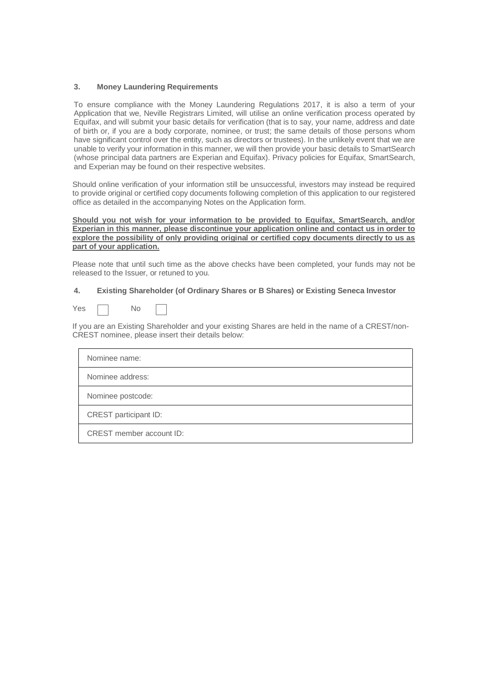#### **3. Money Laundering Requirements**

To ensure compliance with the Money Laundering Regulations 2017, it is also a term of your Application that we, Neville Registrars Limited, will utilise an online verification process operated by Equifax, and will submit your basic details for verification (that is to say, your name, address and date of birth or, if you are a body corporate, nominee, or trust; the same details of those persons whom have significant control over the entity, such as directors or trustees). In the unlikely event that we are unable to verify your information in this manner, we will then provide your basic details to SmartSearch (whose principal data partners are Experian and Equifax). Privacy policies for Equifax, SmartSearch, and Experian may be found on their respective websites.

Should online verification of your information still be unsuccessful, investors may instead be required to provide original or certified copy documents following completion of this application to our registered office as detailed in the accompanying Notes on the Application form.

#### **Should you not wish for your information to be provided to Equifax, SmartSearch, and/or Experian in this manner, please discontinue your application online and contact us in order to**  explore the possibility of only providing original or certified copy documents directly to us as **part of your application.**

Please note that until such time as the above checks have been completed, your funds may not be released to the Issuer, or retuned to you.

#### **4. Existing Shareholder (of Ordinary Shares or B Shares) or Existing Seneca Investor**

 $Yes \t No$ 

If you are an Existing Shareholder and your existing Shares are held in the name of a CREST/non-CREST nominee, please insert their details below:

| Nominee name:            |  |
|--------------------------|--|
| Nominee address:         |  |
| Nominee postcode:        |  |
| CREST participant ID:    |  |
| CREST member account ID: |  |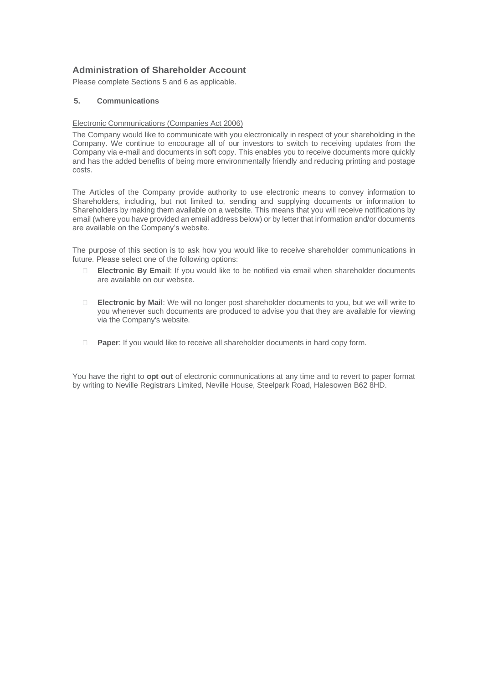#### **Administration of Shareholder Account**

Please complete Sections 5 and 6 as applicable.

#### **5. Communications**

#### Electronic Communications (Companies Act 2006)

The Company would like to communicate with you electronically in respect of your shareholding in the Company. We continue to encourage all of our investors to switch to receiving updates from the Company via e-mail and documents in soft copy. This enables you to receive documents more quickly and has the added benefits of being more environmentally friendly and reducing printing and postage costs.

The Articles of the Company provide authority to use electronic means to convey information to Shareholders, including, but not limited to, sending and supplying documents or information to Shareholders by making them available on a website. This means that you will receive notifications by email (where you have provided an email address below) or by letter that information and/or documents are available on the Company's website.

The purpose of this section is to ask how you would like to receive shareholder communications in future. Please select one of the following options:

- **Electronic By Email**: If you would like to be notified via email when shareholder documents are available on our website.
- **Electronic by Mail**: We will no longer post shareholder documents to you, but we will write to you whenever such documents are produced to advise you that they are available for viewing via the Company's website.
- **Paper**: If you would like to receive all shareholder documents in hard copy form.

You have the right to **opt out** of electronic communications at any time and to revert to paper format by writing to Neville Registrars Limited, Neville House, Steelpark Road, Halesowen B62 8HD.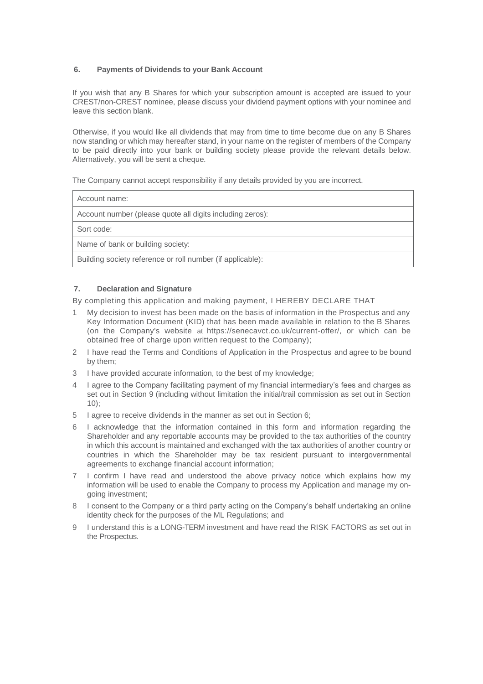#### **6. Payments of Dividends to your Bank Account**

If you wish that any B Shares for which your subscription amount is accepted are issued to your CREST/non-CREST nominee, please discuss your dividend payment options with your nominee and leave this section blank.

Otherwise, if you would like all dividends that may from time to time become due on any B Shares now standing or which may hereafter stand, in your name on the register of members of the Company to be paid directly into your bank or building society please provide the relevant details below. Alternatively, you will be sent a cheque.

The Company cannot accept responsibility if any details provided by you are incorrect.

Account name:

Account number (please quote all digits including zeros):

Sort code:

Name of bank or building society:

Building society reference or roll number (if applicable):

#### **7. Declaration and Signature**

By completing this application and making payment, I HEREBY DECLARE THAT

- 1 My decision to invest has been made on the basis of information in the Prospectus and any Key Information Document (KID) that has been made available in relation to the B Shares (on the Company's website at https://senecavct.co.uk/current-offer/, or which can be obtained free of charge upon written request to the Company);
- 2 I have read the Terms and Conditions of Application in the Prospectus and agree to be bound by them;
- 3 I have provided accurate information, to the best of my knowledge;
- 4 I agree to the Company facilitating payment of my financial intermediary's fees and charges as set out in Section 9 (including without limitation the initial/trail commission as set out in Section 10);
- 5 I agree to receive dividends in the manner as set out in Section 6;
- 6 I acknowledge that the information contained in this form and information regarding the Shareholder and any reportable accounts may be provided to the tax authorities of the country in which this account is maintained and exchanged with the tax authorities of another country or countries in which the Shareholder may be tax resident pursuant to intergovernmental agreements to exchange financial account information;
- 7 I confirm I have read and understood the above privacy notice which explains how my information will be used to enable the Company to process my Application and manage my ongoing investment;
- 8 I consent to the Company or a third party acting on the Company's behalf undertaking an online identity check for the purposes of the ML Regulations; and
- 9 I understand this is a LONG-TERM investment and have read the RISK FACTORS as set out in the Prospectus.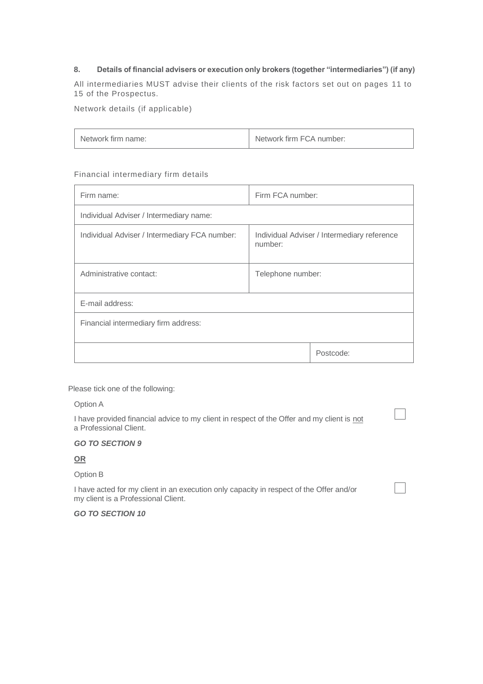#### **8. Details of financial advisers or execution only brokers (together "intermediaries") (if any)**

All intermediaries MUST advise their clients of the risk factors set out on pages 11 to 15 of the Prospectus.

Network details (if applicable)

| Network firm name: | Network firm FCA number: |
|--------------------|--------------------------|
|                    |                          |

#### Financial intermediary firm details

| Firm name:                                    | Firm FCA number:                                       |  |
|-----------------------------------------------|--------------------------------------------------------|--|
| Individual Adviser / Intermediary name:       |                                                        |  |
| Individual Adviser / Intermediary FCA number: | Individual Adviser / Intermediary reference<br>number: |  |
| Administrative contact:                       | Telephone number:                                      |  |
| E-mail address:                               |                                                        |  |
| Financial intermediary firm address:          |                                                        |  |
|                                               | Postcode:                                              |  |

Please tick one of the following:

Option A

I have provided financial advice to my client in respect of the Offer and my client is not a Professional Client.

 $\overline{\phantom{a}}$ 

#### *GO TO SECTION 9*

**OR**

Option B

I have acted for my client in an execution only capacity in respect of the Offer and/or my client is a Professional Client.

*GO TO SECTION 10*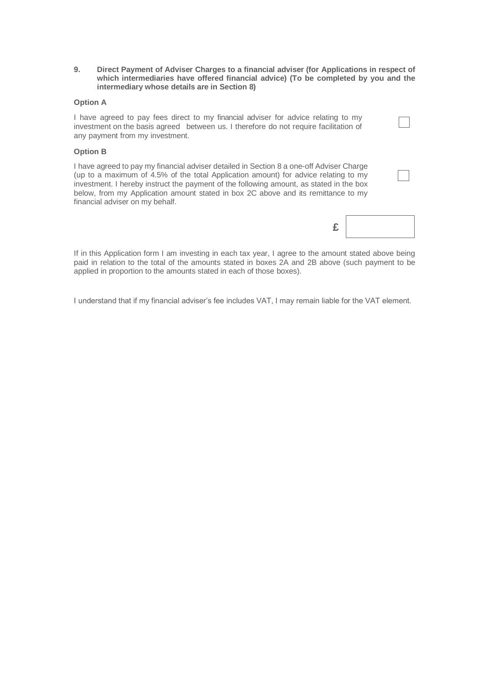**9. Direct Payment of Adviser Charges to a financial adviser (for Applications in respect of which intermediaries have offered financial advice) (To be completed by you and the intermediary whose details are in Section 8)**

#### **Option A**

I have agreed to pay fees direct to my financial adviser for advice relating to my investment on the basis agreed between us. I therefore do not require facilitation of any payment from my investment.

#### **Option B**

I have agreed to pay my financial adviser detailed in Section 8 a one-off Adviser Charge (up to a maximum of 4.5% of the total Application amount) for advice relating to my investment. I hereby instruct the payment of the following amount, as stated in the box below, from my Application amount stated in box 2C above and its remittance to my financial adviser on my behalf.

|--|

If in this Application form I am investing in each tax year, I agree to the amount stated above being paid in relation to the total of the amounts stated in boxes 2A and 2B above (such payment to be applied in proportion to the amounts stated in each of those boxes).

I understand that if my financial adviser's fee includes VAT, I may remain liable for the VAT element.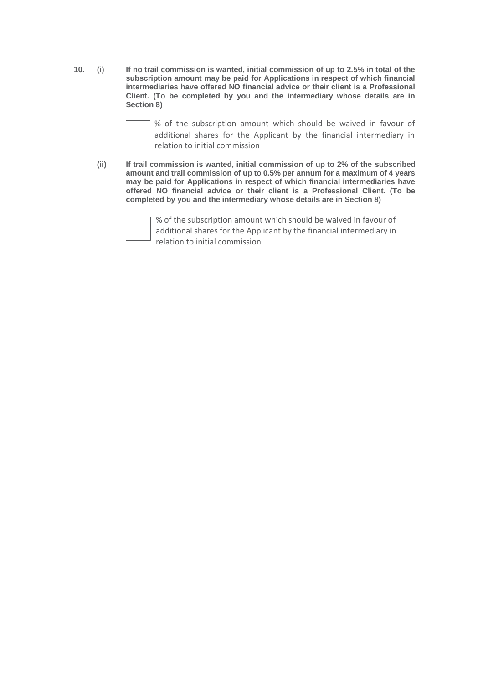**10. (i) If no trail commission is wanted, initial commission of up to 2.5% in total of the subscription amount may be paid for Applications in respect of which financial intermediaries have offered NO financial advice or their client is a Professional Client. (To be completed by you and the intermediary whose details are in Section 8)**



% of the subscription amount which should be waived in favour of additional shares for the Applicant by the financial intermediary in relation to initial commission

**(ii) If trail commission is wanted, initial commission of up to 2% of the subscribed amount and trail commission of up to 0.5% per annum for a maximum of 4 years may be paid for Applications in respect of which financial intermediaries have offered NO financial advice or their client is a Professional Client. (To be completed by you and the intermediary whose details are in Section 8)**



% of the subscription amount which should be waived in favour of additional shares for the Applicant by the financial intermediary in relation to initial commission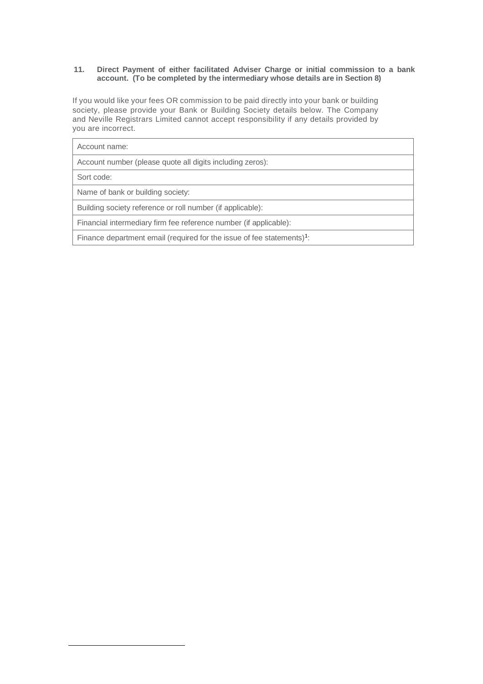#### **11. Direct Payment of either facilitated Adviser Charge or initial commission to a bank account. (To be completed by the intermediary whose details are in Section 8)**

If you would like your fees OR commission to be paid directly into your bank or building society, please provide your Bank or Building Society details below. The Company and Neville Registrars Limited cannot accept responsibility if any details provided by you are incorrect.

| Account name:                                                             |
|---------------------------------------------------------------------------|
| Account number (please quote all digits including zeros):                 |
| Sort code:                                                                |
| Name of bank or building society:                                         |
| Building society reference or roll number (if applicable):                |
| Financial intermediary firm fee reference number (if applicable):         |
| Finance department email (required for the issue of fee statements) $1$ : |
|                                                                           |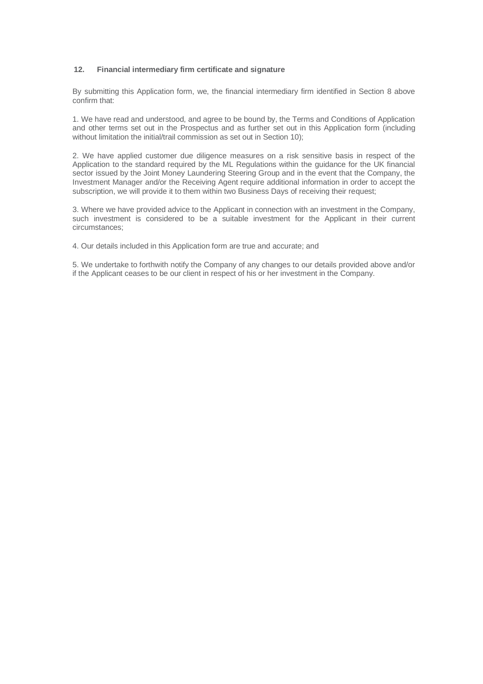#### **12. Financial intermediary firm certificate and signature**

By submitting this Application form, we, the financial intermediary firm identified in Section 8 above confirm that:

1. We have read and understood, and agree to be bound by, the Terms and Conditions of Application and other terms set out in the Prospectus and as further set out in this Application form (including without limitation the initial/trail commission as set out in Section 10);

2. We have applied customer due diligence measures on a risk sensitive basis in respect of the Application to the standard required by the ML Regulations within the guidance for the UK financial sector issued by the Joint Money Laundering Steering Group and in the event that the Company, the Investment Manager and/or the Receiving Agent require additional information in order to accept the subscription, we will provide it to them within two Business Days of receiving their request;

3. Where we have provided advice to the Applicant in connection with an investment in the Company, such investment is considered to be a suitable investment for the Applicant in their current circumstances;

4. Our details included in this Application form are true and accurate; and

5. We undertake to forthwith notify the Company of any changes to our details provided above and/or if the Applicant ceases to be our client in respect of his or her investment in the Company.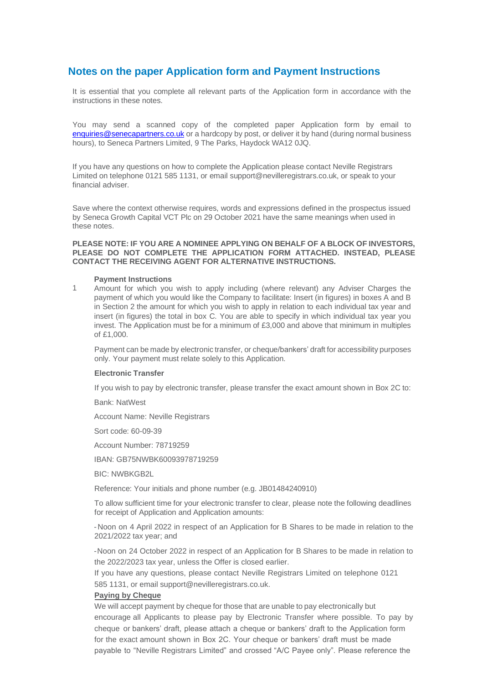### **Notes on the paper Application form and Payment Instructions**

It is essential that you complete all relevant parts of the Application form in accordance with the instructions in these notes.

You may send a scanned copy of the completed paper Application form by email to [enquiries@senecapartners.co.uk](mailto:enquiries@senecapartners.co.uk) or a hardcopy by post, or deliver it by hand (during normal business hours), to Seneca Partners Limited, 9 The Parks, Haydock WA12 0JQ.

If you have any questions on how to complete the Application please contact Neville Registrars Limited on telephone 0121 585 1131, or email support@nevilleregistrars.co.uk, or speak to your financial adviser.

Save where the context otherwise requires, words and expressions defined in the prospectus issued by Seneca Growth Capital VCT Plc on 29 October 2021 have the same meanings when used in these notes.

#### **PLEASE NOTE: IF YOU ARE A NOMINEE APPLYING ON BEHALF OF A BLOCK OF INVESTORS, PLEASE DO NOT COMPLETE THE APPLICATION FORM ATTACHED. INSTEAD, PLEASE CONTACT THE RECEIVING AGENT FOR ALTERNATIVE INSTRUCTIONS.**

#### **Payment Instructions**

1 Amount for which you wish to apply including (where relevant) any Adviser Charges the payment of which you would like the Company to facilitate: Insert (in figures) in boxes A and B in Section 2 the amount for which you wish to apply in relation to each individual tax year and insert (in figures) the total in box C. You are able to specify in which individual tax year you invest. The Application must be for a minimum of £3,000 and above that minimum in multiples of £1,000.

Payment can be made by electronic transfer, or cheque/bankers' draft for accessibility purposes only. Your payment must relate solely to this Application.

#### **Electronic Transfer**

If you wish to pay by electronic transfer, please transfer the exact amount shown in Box 2C to:

Bank: NatWest

Account Name: Neville Registrars

Sort code: 60-09-39

Account Number: 78719259

IBAN: GB75NWBK60093978719259

BIC: NWBKGB2L

Reference: Your initials and phone number (e.g. JB01484240910)

To allow sufficient time for your electronic transfer to clear, please note the following deadlines for receipt of Application and Application amounts:

- Noon on 4 April 2022 in respect of an Application for B Shares to be made in relation to the 2021/2022 tax year; and

- Noon on 24 October 2022 in respect of an Application for B Shares to be made in relation to the 2022/2023 tax year, unless the Offer is closed earlier.

If you have any questions, please contact Neville Registrars Limited on telephone 0121 585 1131, or email support@nevilleregistrars.co.uk.

#### **Paying by Cheque**

We will accept payment by cheque for those that are unable to pay electronically but encourage all Applicants to please pay by Electronic Transfer where possible. To pay by cheque or bankers' draft, please attach a cheque or bankers' draft to the Application form for the exact amount shown in Box 2C. Your cheque or bankers' draft must be made payable to "Neville Registrars Limited" and crossed "A/C Payee only". Please reference the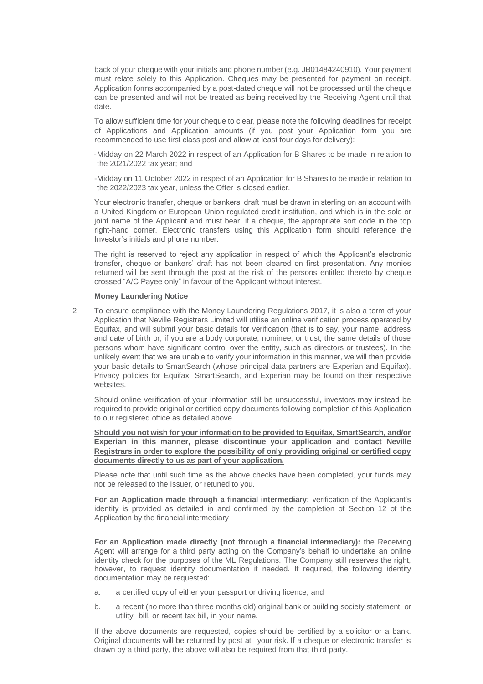back of your cheque with your initials and phone number (e.g. JB01484240910). Your payment must relate solely to this Application. Cheques may be presented for payment on receipt. Application forms accompanied by a post-dated cheque will not be processed until the cheque can be presented and will not be treated as being received by the Receiving Agent until that date.

To allow sufficient time for your cheque to clear, please note the following deadlines for receipt of Applications and Application amounts (if you post your Application form you are recommended to use first class post and allow at least four days for delivery):

-Midday on 22 March 2022 in respect of an Application for B Shares to be made in relation to the 2021/2022 tax year; and

-Midday on 11 October 2022 in respect of an Application for B Shares to be made in relation to the 2022/2023 tax year, unless the Offer is closed earlier.

Your electronic transfer, cheque or bankers' draft must be drawn in sterling on an account with a United Kingdom or European Union regulated credit institution, and which is in the sole or joint name of the Applicant and must bear, if a cheque, the appropriate sort code in the top right-hand corner. Electronic transfers using this Application form should reference the Investor's initials and phone number.

The right is reserved to reject any application in respect of which the Applicant's electronic transfer, cheque or bankers' draft has not been cleared on first presentation. Any monies returned will be sent through the post at the risk of the persons entitled thereto by cheque crossed "A/C Payee only" in favour of the Applicant without interest.

#### **Money Laundering Notice**

2 To ensure compliance with the Money Laundering Regulations 2017, it is also a term of your Application that Neville Registrars Limited will utilise an online verification process operated by Equifax, and will submit your basic details for verification (that is to say, your name, address and date of birth or, if you are a body corporate, nominee, or trust; the same details of those persons whom have significant control over the entity, such as directors or trustees). In the unlikely event that we are unable to verify your information in this manner, we will then provide your basic details to SmartSearch (whose principal data partners are Experian and Equifax). Privacy policies for Equifax, SmartSearch, and Experian may be found on their respective websites.

Should online verification of your information still be unsuccessful, investors may instead be required to provide original or certified copy documents following completion of this Application to our registered office as detailed above.

**Should you not wish for your information to be provided to Equifax, SmartSearch, and/or Experian in this manner, please discontinue your application and contact Neville Registrars in order to explore the possibility of only providing original or certified copy documents directly to us as part of your application.**

Please note that until such time as the above checks have been completed, your funds may not be released to the Issuer, or retuned to you.

**For an Application made through a financial intermediary:** verification of the Applicant's identity is provided as detailed in and confirmed by the completion of Section 12 of the Application by the financial intermediary

**For an Application made directly (not through a financial intermediary):** the Receiving Agent will arrange for a third party acting on the Company's behalf to undertake an online identity check for the purposes of the ML Regulations. The Company still reserves the right, however, to request identity documentation if needed. If required, the following identity documentation may be requested:

- a. a certified copy of either your passport or driving licence; and
- b. a recent (no more than three months old) original bank or building society statement, or utility bill, or recent tax bill, in your name.

If the above documents are requested, copies should be certified by a solicitor or a bank. Original documents will be returned by post at your risk. If a cheque or electronic transfer is drawn by a third party, the above will also be required from that third party.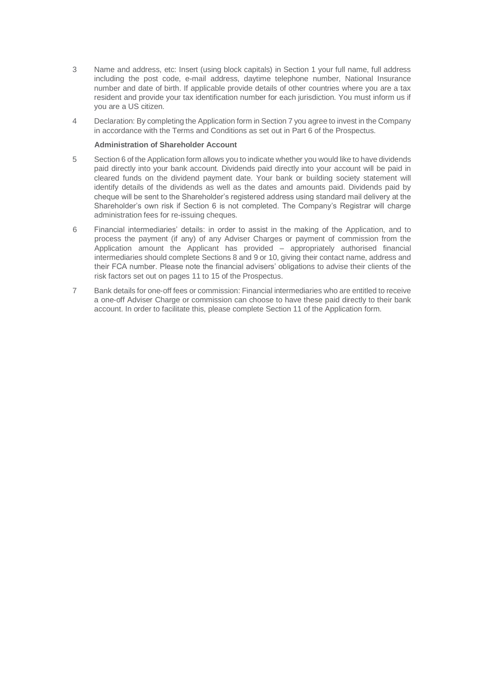- 3 Name and address, etc: Insert (using block capitals) in Section 1 your full name, full address including the post code, e-mail address, daytime telephone number, National Insurance number and date of birth. If applicable provide details of other countries where you are a tax resident and provide your tax identification number for each jurisdiction. You must inform us if you are a US citizen.
- 4 Declaration: By completing the Application form in Section 7 you agree to invest in the Company in accordance with the Terms and Conditions as set out in Part 6 of the Prospectus.

#### **Administration of Shareholder Account**

- 5 Section 6 of the Application form allows you to indicate whether you would like to have dividends paid directly into your bank account. Dividends paid directly into your account will be paid in cleared funds on the dividend payment date. Your bank or building society statement will identify details of the dividends as well as the dates and amounts paid. Dividends paid by cheque will be sent to the Shareholder's registered address using standard mail delivery at the Shareholder's own risk if Section 6 is not completed. The Company's Registrar will charge administration fees for re-issuing cheques.
- 6 Financial intermediaries' details: in order to assist in the making of the Application, and to process the payment (if any) of any Adviser Charges or payment of commission from the Application amount the Applicant has provided – appropriately authorised financial intermediaries should complete Sections 8 and 9 or 10, giving their contact name, address and their FCA number. Please note the financial advisers' obligations to advise their clients of the risk factors set out on pages 11 to 15 of the Prospectus.
- 7 Bank details for one-off fees or commission: Financial intermediaries who are entitled to receive a one-off Adviser Charge or commission can choose to have these paid directly to their bank account. In order to facilitate this, please complete Section 11 of the Application form.